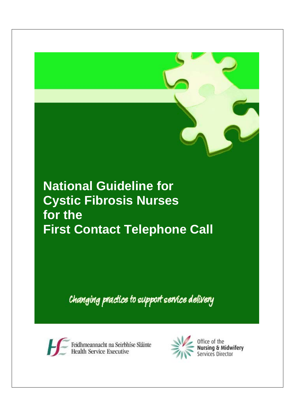# **National Guideline for Cystic Fibrosis Nurses for the First Contact Telephone Call**

Changing practice to support service delivery



Feidhmeannacht na Seirbhíse Sláinte<br>Health Service Executive

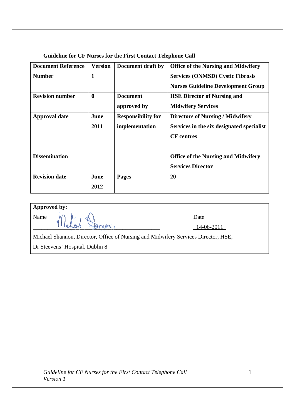**Guideline for CF Nurses for the First Contact Telephone Call** 

| <b>Document Reference</b> | <b>Version</b> | Document draft by         | <b>Office of the Nursing and Midwifery</b> |
|---------------------------|----------------|---------------------------|--------------------------------------------|
| <b>Number</b>             | 1              |                           | <b>Services (ONMSD) Cystic Fibrosis</b>    |
|                           |                |                           | <b>Nurses Guideline Development Group</b>  |
| <b>Revision number</b>    | $\mathbf{0}$   | <b>Document</b>           | <b>HSE Director of Nursing and</b>         |
|                           |                | approved by               | <b>Midwifery Services</b>                  |
| <b>Approval date</b>      | June           | <b>Responsibility for</b> | <b>Directors of Nursing / Midwifery</b>    |
|                           | 2011           | implementation            | Services in the six designated specialist  |
|                           |                |                           | <b>CF</b> centres                          |
|                           |                |                           |                                            |
| <b>Dissemination</b>      |                |                           | <b>Office of the Nursing and Midwifery</b> |
|                           |                |                           | <b>Services Director</b>                   |
| <b>Revision date</b>      | June           | Pages                     | 20                                         |
|                           | 2012           |                           |                                            |

# **Approved by:**

Name  $\mathcal{N}$   $\mathbb{R}$ ,  $\mathbb{A}$   $\mathbb{R}$  $11$  rehad  $\bigcirc$  men.

Michael Shannon, Director, Office of Nursing and Midwifery Services Director, HSE,

Dr Steevens' Hospital, Dublin 8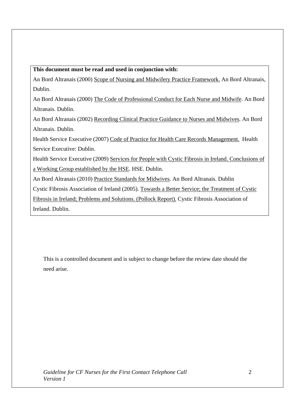**This document must be read and used in conjunction with:** 

An Bord Altranais (2000) Scope of Nursing and Midwifery Practice Framework. An Bord Altranais, Dublin.

An Bord Altranais (2000) The Code of Professional Conduct for Each Nurse and Midwife. An Bord Altranais. Dublin.

An Bord Altranais (2002) Recording Clinical Practice Guidance to Nurses and Midwives. An Bord Altranais. Dublin.

Health Service Executive (2007) Code of Practice for Health Care Records Management. Health Service Executive: Dublin.

Health Service Executive (2009) Services for People with Cystic Fibrosis in Ireland. Conclusions of a Working Group established by the HSE. HSE. Dublin.

An Bord Altranais (2010) Practice Standards for Midwives. An Bord Altranais. Dublin

Cystic Fibrosis Association of Ireland (2005). Towards a Better Service; the Treatment of Cystic

Fibrosis in Ireland; Problems and Solutions. (Pollock Report). Cystic Fibrosis Association of Ireland. Dublin.

This is a controlled document and is subject to change before the review date should the need arise.

*Guideline for CF Nurses for the First Contact Telephone Call Version 1*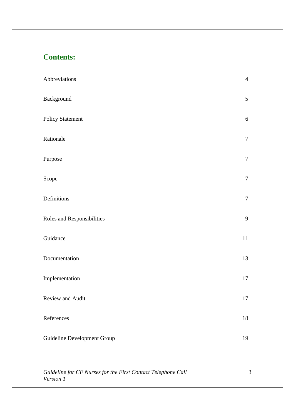# **Contents:**

*Version 1*

| Abbreviations                                                | $\overline{4}$ |
|--------------------------------------------------------------|----------------|
| Background                                                   | 5              |
| <b>Policy Statement</b>                                      | $6\,$          |
| Rationale                                                    | $\tau$         |
| Purpose                                                      | $\tau$         |
| Scope                                                        | $\tau$         |
| Definitions                                                  | $\tau$         |
| Roles and Responsibilities                                   | 9              |
| Guidance                                                     | 11             |
| Documentation                                                | 13             |
| Implementation                                               | 17             |
| Review and Audit                                             | 17             |
| References                                                   | 18             |
| Guideline Development Group                                  | 19             |
|                                                              |                |
| Guideline for CF Nurses for the First Contact Telephone Call | 3              |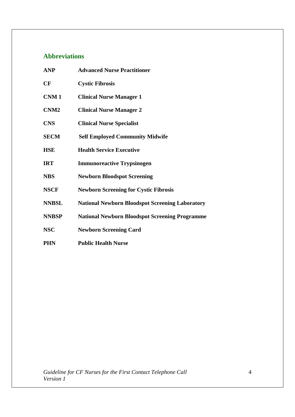# **Abbreviations**

| <b>ANP</b>       | <b>Advanced Nurse Practitioner</b>                     |
|------------------|--------------------------------------------------------|
| CF               | <b>Cystic Fibrosis</b>                                 |
| CNM <sub>1</sub> | <b>Clinical Nurse Manager 1</b>                        |
| CNM <sub>2</sub> | <b>Clinical Nurse Manager 2</b>                        |
| <b>CNS</b>       | <b>Clinical Nurse Specialist</b>                       |
| <b>SECM</b>      | <b>Self Employed Community Midwife</b>                 |
| <b>HSE</b>       | <b>Health Service Executive</b>                        |
| <b>IRT</b>       | <b>Immunoreactive Trypsinogen</b>                      |
| <b>NBS</b>       | <b>Newborn Bloodspot Screening</b>                     |
| <b>NSCF</b>      | <b>Newborn Screening for Cystic Fibrosis</b>           |
| <b>NNBSL</b>     | <b>National Newborn Bloodspot Screening Laboratory</b> |
| <b>NNBSP</b>     | <b>National Newborn Bloodspot Screening Programme</b>  |
| <b>NSC</b>       | <b>Newborn Screening Card</b>                          |
| <b>PHN</b>       | <b>Public Health Nurse</b>                             |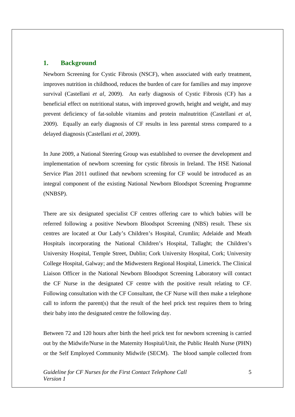### **1. Background**

Newborn Screening for Cystic Fibrosis (NSCF), when associated with early treatment, improves nutrition in childhood, reduces the burden of care for families and may improve survival (Castellani *et al*, 2009). An early diagnosis of Cystic Fibrosis (CF) has a beneficial effect on nutritional status, with improved growth, height and weight, and may prevent deficiency of fat-soluble vitamins and protein malnutrition (Castellani *et al*, 2009). Equally an early diagnosis of CF results in less parental stress compared to a delayed diagnosis (Castellani *et al*, 2009).

In June 2009, a National Steering Group was established to oversee the development and implementation of newborn screening for cystic fibrosis in Ireland. The HSE National Service Plan 2011 outlined that newborn screening for CF would be introduced as an integral component of the existing National Newborn Bloodspot Screening Programme (NNBSP).

There are six designated specialist CF centres offering care to which babies will be referred following a positive Newborn Bloodspot Screening (NBS) result. These six centres are located at Our Lady's Children's Hospital, Crumlin; Adelaide and Meath Hospitals incorporating the National Children's Hospital, Tallaght; the Children's University Hospital, Temple Street, Dublin; Cork University Hospital, Cork; University College Hospital, Galway; and the Midwestern Regional Hospital, Limerick. The Clinical Liaison Officer in the National Newborn Bloodspot Screening Laboratory will contact the CF Nurse in the designated CF centre with the positive result relating to CF. Following consultation with the CF Consultant, the CF Nurse will then make a telephone call to inform the parent(s) that the result of the heel prick test requires them to bring their baby into the designated centre the following day.

Between 72 and 120 hours after birth the heel prick test for newborn screening is carried out by the Midwife/Nurse in the Maternity Hospital/Unit, the Public Health Nurse (PHN) or the Self Employed Community Midwife (SECM). The blood sample collected from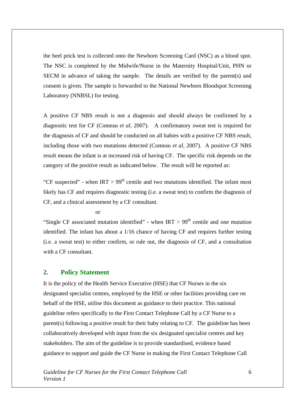the heel prick test is collected onto the Newborn Screening Card (NSC) as a blood spot. The NSC is completed by the Midwife/Nurse in the Maternity Hospital/Unit, PHN or SECM in advance of taking the sample. The details are verified by the parent(s) and consent is given. The sample is forwarded to the National Newborn Bloodspot Screening Laboratory (NNBSL) for testing.

A positive CF NBS result is not a diagnosis and should always be confirmed by a diagnostic test for CF (Comeau *et al,* 2007). A confirmatory sweat test is required for the diagnosis of CF and should be conducted on all babies with a positive CF NBS result, including those with two mutations detected (Comeau *et al,* 2007). A positive CF NBS result means the infant is at increased risk of having CF. The specific risk depends on the category of the positive result as indicated below. The result will be reported as:

"CF suspected" - when  $IRT > 99<sup>th</sup>$  centile and two mutations identified. The infant most likely has CF and requires diagnostic testing (i.e. a sweat test) to confirm the diagnosis of CF, and a clinical assessment by a CF consultant.

#### or

"Single CF associated mutation identified" - when  $IRT > 99<sup>th</sup>$  centile and one mutation identified. The infant has about a 1/16 chance of having CF and requires further testing (i.e. a sweat test) to either confirm, or rule out, the diagnosis of CF, and a consultation with a CF consultant.

#### **2. Policy Statement**

It is the policy of the Health Service Executive (HSE) that CF Nurses in the six designated specialist centres, employed by the HSE or other facilities providing care on behalf of the HSE, utilise this document as guidance to their practice. This national guideline refers specifically to the First Contact Telephone Call by a CF Nurse to a parent(s) following a positive result for their baby relating to CF. The guideline has been collaboratively developed with input from the six designated specialist centres and key stakeholders. The aim of the guideline is to provide standardised, evidence based guidance to support and guide the CF Nurse in making the First Contact Telephone Call

*Guideline for CF Nurses for the First Contact Telephone Call Version 1*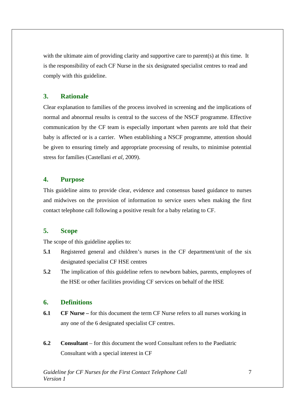with the ultimate aim of providing clarity and supportive care to parent(s) at this time. It is the responsibility of each CF Nurse in the six designated specialist centres to read and comply with this guideline.

# **3. Rationale**

Clear explanation to families of the process involved in screening and the implications of normal and abnormal results is central to the success of the NSCF programme. Effective communication by the CF team is especially important when parents are told that their baby is affected or is a carrier. When establishing a NSCF programme, attention should be given to ensuring timely and appropriate processing of results, to minimise potential stress for families (Castellani *et al*, 2009).

# **4. Purpose**

This guideline aims to provide clear, evidence and consensus based guidance to nurses and midwives on the provision of information to service users when making the first contact telephone call following a positive result for a baby relating to CF.

# **5. Scope**

The scope of this guideline applies to:

- **5.1** Registered general and children's nurses in the CF department/unit of the six designated specialist CF HSE centres
- **5.2** The implication of this guideline refers to newborn babies, parents, employees of the HSE or other facilities providing CF services on behalf of the HSE

# **6. Definitions**

- **6.1 CF Nurse** for this document the term CF Nurse refers to all nurses working in any one of the 6 designated specialist CF centres.
- **6.2 Consultant** for this document the word Consultant refers to the Paediatric Consultant with a special interest in CF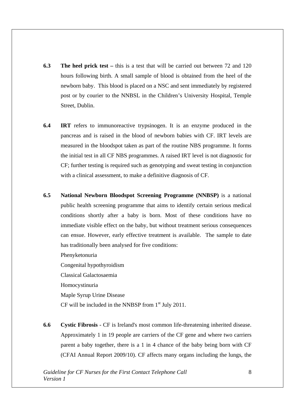- **6.3** The heel prick test this is a test that will be carried out between 72 and 120 hours following birth. A small sample of blood is obtained from the heel of the newborn baby. This blood is placed on a NSC and sent immediately by registered post or by courier to the NNBSL in the Children's University Hospital, Temple Street, Dublin.
- **6.4 IRT** refers to immunoreactive trypsinogen. It is an enzyme produced in the pancreas and is raised in the blood of newborn babies with CF. IRT levels are measured in the bloodspot taken as part of the routine NBS programme. It forms the initial test in all CF NBS programmes. A raised IRT level is not diagnostic for CF; further testing is required such as genotyping and sweat testing in conjunction with a clinical assessment, to make a definitive diagnosis of CF.
- **6.5 National Newborn Bloodspot Screening Programme (NNBSP)** is a national public health screening programme that aims to identify certain serious medical conditions shortly after a baby is born. Most of these conditions have no immediate visible effect on the baby, but without treatment serious consequences can ensue. However, early effective treatment is available. The sample to date has traditionally been analysed for five conditions:

 Phenyketonuria Congenital hypothyroidism Classical Galactosaemia Homocystinuria Maple Syrup Urine Disease CF will be included in the NNBSP from  $1<sup>st</sup>$  July 2011.

**6.6 Cystic Fibrosis** - CF is Ireland's most common life-threatening inherited disease. Approximately 1 in 19 people are carriers of the CF gene and where two carriers parent a baby together, there is a 1 in 4 chance of the baby being born with CF (CFAI Annual Report 2009/10). CF affects many organs including the lungs, the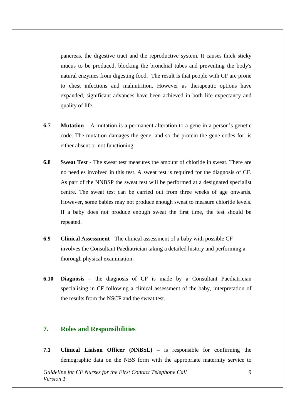pancreas, the digestive tract and the reproductive system. It causes thick sticky mucus to be produced, blocking the bronchial tubes and preventing the body's natural enzymes from digesting food. The result is that people with CF are prone to chest infections and malnutrition. However as therapeutic options have expanded, significant advances have been achieved in both life expectancy and quality of life.

- **6.7 Mutation** A mutation is a permanent alteration to a gene in a person's genetic code. The mutation damages the gene, and so the protein the gene codes for, is either absent or not functioning.
- **6.8 Sweat Test** The sweat test measures the amount of chloride in sweat. There are no needles involved in this test. A sweat test is required for the diagnosis of CF. As part of the NNBSP the sweat test will be performed at a designated specialist centre. The sweat test can be carried out from three weeks of age onwards. However, some babies may not produce enough sweat to measure chloride levels. If a baby does not produce enough sweat the first time, the test should be repeated.
- **6.9 Clinical Assessment** The clinical assessment of a baby with possible CF involves the Consultant Paediatrician taking a detailed history and performing a thorough physical examination.
- **6.10 Diagnosis** the diagnosis of CF is made by a Consultant Paediatrician specialising in CF following a clinical assessment of the baby, interpretation of the results from the NSCF and the sweat test.

# **7. Roles and Responsibilities**

**7.1 Clinical Liaison Officer (NNBSL)** – is responsible for confirming the demographic data on the NBS form with the appropriate maternity service to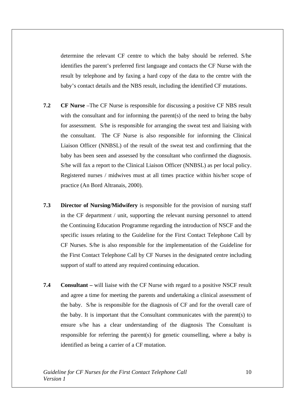determine the relevant CF centre to which the baby should be referred. S/he identifies the parent's preferred first language and contacts the CF Nurse with the result by telephone and by faxing a hard copy of the data to the centre with the baby's contact details and the NBS result, including the identified CF mutations.

- **7.2 CF Nurse** –The CF Nurse is responsible for discussing a positive CF NBS result with the consultant and for informing the parent(s) of the need to bring the baby for assessment. S/he is responsible for arranging the sweat test and liaising with the consultant. The CF Nurse is also responsible for informing the Clinical Liaison Officer (NNBSL) of the result of the sweat test and confirming that the baby has been seen and assessed by the consultant who confirmed the diagnosis. S/he will fax a report to the Clinical Liaison Officer (NNBSL) as per local policy. Registered nurses / midwives must at all times practice within his/her scope of practice (An Bord Altranais, 2000).
- **7.3 Director of Nursing/Midwifery** is responsible for the provision of nursing staff in the CF department / unit, supporting the relevant nursing personnel to attend the Continuing Education Programme regarding the introduction of NSCF and the specific issues relating to the Guideline for the First Contact Telephone Call by CF Nurses. S/he is also responsible for the implementation of the Guideline for the First Contact Telephone Call by CF Nurses in the designated centre including support of staff to attend any required continuing education.
- **7.4 Consultant** will liaise with the CF Nurse with regard to a positive NSCF result and agree a time for meeting the parents and undertaking a clinical assessment of the baby. S/he is responsible for the diagnosis of CF and for the overall care of the baby. It is important that the Consultant communicates with the parent(s) to ensure s/he has a clear understanding of the diagnosis The Consultant is responsible for referring the parent(s) for genetic counselling, where a baby is identified as being a carrier of a CF mutation.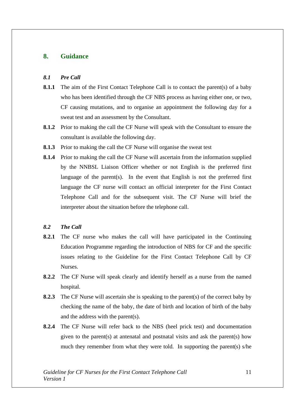## **8. Guidance**

#### *8.1 Pre Call*

- **8.1.1** The aim of the First Contact Telephone Call is to contact the parent(s) of a baby who has been identified through the CF NBS process as having either one, or two, CF causing mutations, and to organise an appointment the following day for a sweat test and an assessment by the Consultant.
- **8.1.2** Prior to making the call the CF Nurse will speak with the Consultant to ensure the consultant is available the following day.
- **8.1.3** Prior to making the call the CF Nurse will organise the sweat test
- **8.1.4** Prior to making the call the CF Nurse will ascertain from the information supplied by the NNBSL Liaison Officer whether or not English is the preferred first language of the parent(s). In the event that English is not the preferred first language the CF nurse will contact an official interpreter for the First Contact Telephone Call and for the subsequent visit. The CF Nurse will brief the interpreter about the situation before the telephone call.

#### *8.2 The Call*

- **8.2.1** The CF nurse who makes the call will have participated in the Continuing Education Programme regarding the introduction of NBS for CF and the specific issues relating to the Guideline for the First Contact Telephone Call by CF Nurses.
- **8.2.2** The CF Nurse will speak clearly and identify herself as a nurse from the named hospital.
- **8.2.3** The CF Nurse will ascertain she is speaking to the parent(s) of the correct baby by checking the name of the baby, the date of birth and location of birth of the baby and the address with the parent(s).
- **8.2.4** The CF Nurse will refer back to the NBS (heel prick test) and documentation given to the parent(s) at antenatal and postnatal visits and ask the parent(s) how much they remember from what they were told. In supporting the parent(s) s/he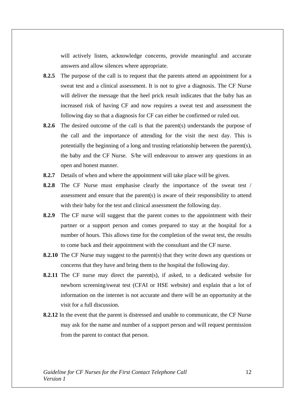will actively listen, acknowledge concerns, provide meaningful and accurate answers and allow silences where appropriate.

- **8.2.5** The purpose of the call is to request that the parents attend an appointment for a sweat test and a clinical assessment. It is not to give a diagnosis. The CF Nurse will deliver the message that the heel prick result indicates that the baby has an increased risk of having CF and now requires a sweat test and assessment the following day so that a diagnosis for CF can either be confirmed or ruled out.
- **8.2.6** The desired outcome of the call is that the parent(s) understands the purpose of the call and the importance of attending for the visit the next day. This is potentially the beginning of a long and trusting relationship between the parent(s), the baby and the CF Nurse. S/he will endeavour to answer any questions in an open and honest manner.
- **8.2.7** Details of when and where the appointment will take place will be given.
- **8.2.8** The CF Nurse must emphasise clearly the importance of the sweat test / assessment and ensure that the parent(s) is aware of their responsibility to attend with their baby for the test and clinical assessment the following day.
- **8.2.9** The CF nurse will suggest that the parent comes to the appointment with their partner or a support person and comes prepared to stay at the hospital for a number of hours. This allows time for the completion of the sweat test, the results to come back and their appointment with the consultant and the CF nurse.
- **8.2.10** The CF Nurse may suggest to the parent(s) that they write down any questions or concerns that they have and bring them to the hospital the following day.
- **8.2.11** The CF nurse may direct the parent(s), if asked, to a dedicated website for newborn screening/sweat test (CFAI or HSE website) and explain that a lot of information on the internet is not accurate and there will be an opportunity at the visit for a full discussion.
- **8.2.12** In the event that the parent is distressed and unable to communicate, the CF Nurse may ask for the name and number of a support person and will request permission from the parent to contact that person.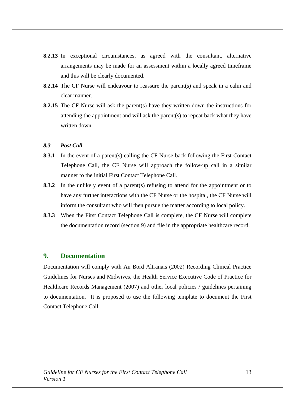- **8.2.13** In exceptional circumstances, as agreed with the consultant, alternative arrangements may be made for an assessment within a locally agreed timeframe and this will be clearly documented.
- **8.2.14** The CF Nurse will endeavour to reassure the parent(s) and speak in a calm and clear manner.
- **8.2.15** The CF Nurse will ask the parent(s) have they written down the instructions for attending the appointment and will ask the parent(s) to repeat back what they have written down.

#### *8.3 Post Call*

- **8.3.1** In the event of a parent(s) calling the CF Nurse back following the First Contact Telephone Call, the CF Nurse will approach the follow-up call in a similar manner to the initial First Contact Telephone Call.
- **8.3.2** In the unlikely event of a parent(s) refusing to attend for the appointment or to have any further interactions with the CF Nurse or the hospital, the CF Nurse will inform the consultant who will then pursue the matter according to local policy.
- **8.3.3** When the First Contact Telephone Call is complete, the CF Nurse will complete the documentation record (section 9) and file in the appropriate healthcare record.

#### **9. Documentation**

Documentation will comply with An Bord Altranais (2002) Recording Clinical Practice Guidelines for Nurses and Midwives, the Health Service Executive Code of Practice for Healthcare Records Management (2007) and other local policies / guidelines pertaining to documentation. It is proposed to use the following template to document the First Contact Telephone Call: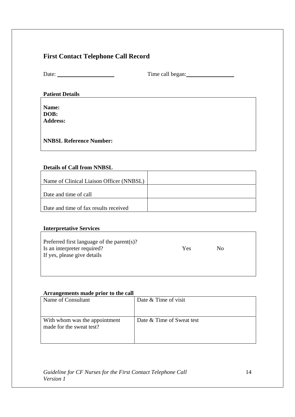# **First Contact Telephone Call Record**

Date: Time call began:

# **Patient Details**

**Name: DOB: Address:** 

**NNBSL Reference Number:** 

# **Details of Call from NNBSL**

| Name of Clinical Liaison Officer (NNBSL) |  |
|------------------------------------------|--|
| Date and time of call                    |  |
| Date and time of fax results received    |  |

## **Interpretative Services**

| Preferred first language of the parent(s)?<br>Is an interpreter required?<br>If yes, please give details | <b>Yes</b> | $\mathsf{No}$ |
|----------------------------------------------------------------------------------------------------------|------------|---------------|
|                                                                                                          |            |               |

## **Arrangements made prior to the call**

| Name of Consultant                                        | Date & Time of visit      |
|-----------------------------------------------------------|---------------------------|
|                                                           |                           |
| With whom was the appointment<br>made for the sweat test? | Date & Time of Sweat test |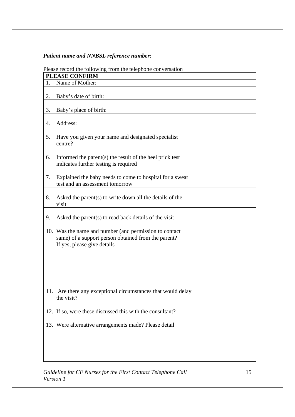# *Patient name and NNBSL reference number:*

|    | r rease record the ronowing from the telephone conversation                                                                                  |  |
|----|----------------------------------------------------------------------------------------------------------------------------------------------|--|
|    | <b>PLEASE CONFIRM</b>                                                                                                                        |  |
| 1. | Name of Mother:                                                                                                                              |  |
| 2. | Baby's date of birth:                                                                                                                        |  |
| 3. | Baby's place of birth:                                                                                                                       |  |
| 4. | Address:                                                                                                                                     |  |
| 5. | Have you given your name and designated specialist<br>centre?                                                                                |  |
| 6. | Informed the parent $(s)$ the result of the heel prick test<br>indicates further testing is required                                         |  |
| 7. | Explained the baby needs to come to hospital for a sweat<br>test and an assessment tomorrow                                                  |  |
| 8. | Asked the parent(s) to write down all the details of the<br>visit                                                                            |  |
| 9. | Asked the parent(s) to read back details of the visit                                                                                        |  |
|    | 10. Was the name and number (and permission to contact<br>same) of a support person obtained from the parent?<br>If yes, please give details |  |
|    | 11. Are there any exceptional circumstances that would delay<br>the visit?                                                                   |  |
|    | 12. If so, were these discussed this with the consultant?                                                                                    |  |
|    | 13. Were alternative arrangements made? Please detail                                                                                        |  |
|    |                                                                                                                                              |  |

# Please record the following from the telephone conversation

*Guideline for CF Nurses for the First Contact Telephone Call Version 1*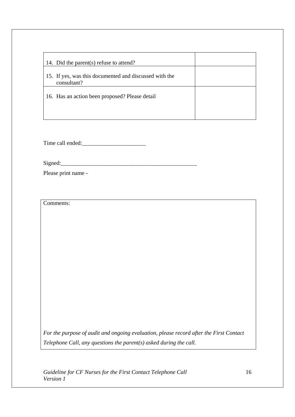| 14. Did the parent(s) refuse to attend?                               |  |
|-----------------------------------------------------------------------|--|
| 15. If yes, was this documented and discussed with the<br>consultant? |  |
| 16. Has an action been proposed? Please detail                        |  |
|                                                                       |  |

Time call ended:\_\_\_\_\_\_\_\_\_\_\_\_\_\_\_\_\_\_\_\_\_\_

 $Signed:$ 

Please print name -

Comments:

*For the purpose of audit and ongoing evaluation, please record after the First Contact Telephone Call, any questions the parent(s) asked during the call.*

*Guideline for CF Nurses for the First Contact Telephone Call Version 1*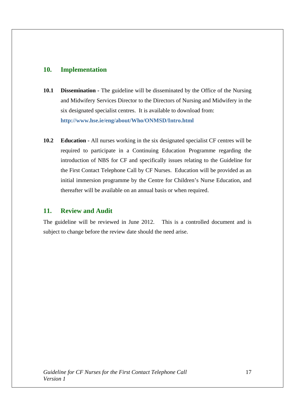# **10. Implementation**

- **10.1 Dissemination -** The guideline will be disseminated by the Office of the Nursing and Midwifery Services Director to the Directors of Nursing and Midwifery in the six designated specialist centres. It is available to download from: **http://www.hse.ie/eng/about/Who/ONMSD/Intro.html**
- **10.2 Education** All nurses working in the six designated specialist CF centres will be required to participate in a Continuing Education Programme regarding the introduction of NBS for CF and specifically issues relating to the Guideline for the First Contact Telephone Call by CF Nurses. Education will be provided as an initial immersion programme by the Centre for Children's Nurse Education, and thereafter will be available on an annual basis or when required.

# **11. Review and Audit**

The guideline will be reviewed in June 2012. This is a controlled document and is subject to change before the review date should the need arise.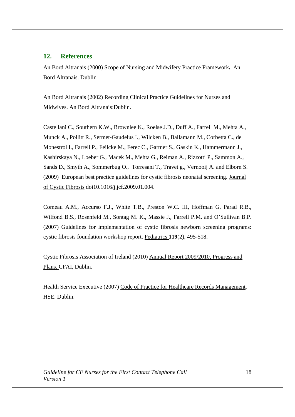## **12. References**

An Bord Altranais (2000) Scope of Nursing and Midwifery Practice Framework**.**. An Bord Altranais. Dublin

An Bord Altranais (2002) Recording Clinical Practice Guidelines for Nurses and Midwives. An Bord Altranais:Dublin.

Castellani C., Southern K.W., Brownlee K., Roelse J.D., Duff A., Farrell M., Mehta A., Munck A., Pollitt R., Sermet-Gaudelus I., Wilcken B., Ballamann M., Corbetta C., de Monestrol I., Farrell P., Feilcke M., Ferec C., Gartner S., Gaskin K., Hammermann J., Kashirskaya N., Loeber G., Macek M., Mehta G., Reiman A., Rizzotti P., Sammon A., Sands D., Smyth A., Sommerbug O., Torresani T., Travet g., Vernooij A. and Elborn S. (2009) European best practice guidelines for cystic fibrosis neonatal screening. Journal of Cystic Fibrosis doi10.1016/j.jcf.2009.01.004.

Comeau A.M., Accurso F.J., White T.B., Preston W.C. III, Hoffman G, Parad R.B., Wilfond B.S., Rosenfeld M., Sontag M. K., Massie J., Farrell P.M. and O'Sullivan B.P. (2007) Guidelines for implementation of cystic fibrosis newborn screening programs: cystic fibrosis foundation workshop report. Pediatrics **119**(2), 495-518.

Cystic Fibrosis Association of Ireland (2010) Annual Report 2009/2010, Progress and Plans. CFAI, Dublin.

Health Service Executive (2007) Code of Practice for Healthcare Records Management. HSE. Dublin.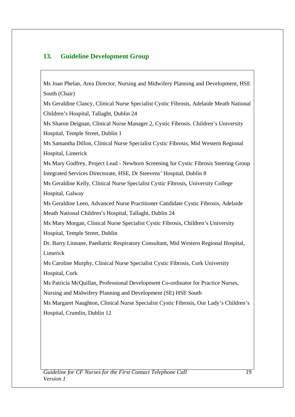# **13. Guideline Development Group**

Ms Joan Phelan, Area Director, Nursing and Midwifery Planning and Development, HSE South (Chair)

Ms Geraldine Clancy, Clinical Nurse Specialist Cystic Fibrosis, Adelaide Meath National Children's Hospital, Tallaght, Dublin 24

Ms Sharon Deignan, Clinical Nurse Manager 2, Cystic Fibrosis. Children's University Hospital, Temple Street, Dublin 1

Ms Samantha Dillon, Clinical Nurse Specialist Cystic Fibrosis, Mid Western Regional Hospital, Limerick

Ms Mary Godfrey, Project Lead - Newborn Screening for Cystic Fibrosis Steering Group Integrated Services Directorate, HSE, Dr Steevens' Hospital, Dublin 8

Ms Geraldine Kelly, Clinical Nurse Specialist Cystic Fibrosis, University College Hospital, Galway

Ms Geraldine Leen, Advanced Nurse Practitioner Candidate Cystic Fibrosis, Adelaide Meath National Children's Hospital, Tallaght, Dublin 24

Ms Mary Morgan, Clinical Nurse Specialist Cystic Fibrosis, Children's University Hospital, Temple Street, Dublin

Dr. Barry Linnane, Paediatric Respiratory Consultant, Mid Western Regional Hospital, Limerick

Ms Caroline Murphy, Clinical Nurse Specialist Cystic Fibrosis, Cork University Hospital, Cork

Ms Patricia McQuillan, Professional Development Co-ordinator for Practice Nurses,

Nursing and Midwifery Planning and Development (SE) HSE South

Ms Margaret Naughton, Clinical Nurse Specialist Cystic Fibrosis, Our Lady's Children's Hospital, Crumlin, Dublin 12